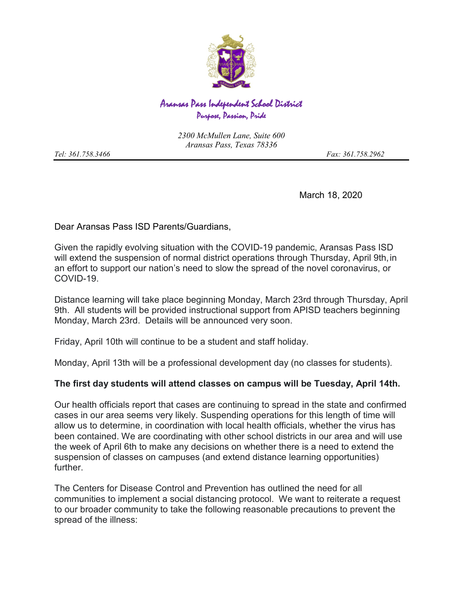

## Aransas Pass Independent School District Purpose, Passion, Pride

*2300 McMullen Lane, Suite 600 Aransas Pass, Texas 78336*

*Tel: 361.758.3466 Fax: 361.758.2962*

March 18, 2020

Dear Aransas Pass ISD Parents/Guardians,

Given the rapidly evolving situation with the COVID-19 pandemic, Aransas Pass ISD will extend the suspension of normal district operations through Thursday, April 9th, in an effort to support our nation's need to slow the spread of the novel coronavirus, or COVID-19.

Distance learning will take place beginning Monday, March 23rd through Thursday, April 9th. All students will be provided instructional support from APISD teachers beginning Monday, March 23rd. Details will be announced very soon.

Friday, April 10th will continue to be a student and staff holiday.

Monday, April 13th will be a professional development day (no classes for students).

## **The first day students will attend classes on campus will be Tuesday, April 14th.**

Our health officials report that cases are continuing to spread in the state and confirmed cases in our area seems very likely. Suspending operations for this length of time will allow us to determine, in coordination with local health officials, whether the virus has been contained. We are coordinating with other school districts in our area and will use the week of April 6th to make any decisions on whether there is a need to extend the suspension of classes on campuses (and extend distance learning opportunities) further.

The Centers for Disease Control and Prevention has outlined the need for all communities to implement a social distancing protocol. We want to reiterate a request to our broader community to take the following reasonable precautions to prevent the spread of the illness: